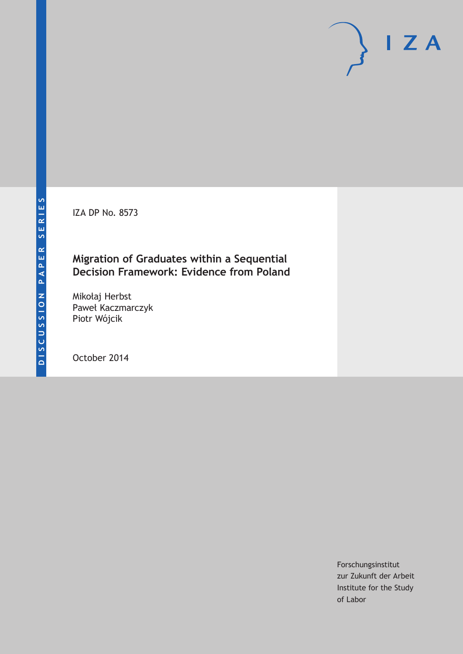IZA DP No. 8573

## **Migration of Graduates within a Sequential Decision Framework: Evidence from Poland**

Mikołaj Herbst Paweł Kaczmarczyk Piotr Wójcik

October 2014

Forschungsinstitut zur Zukunft der Arbeit Institute for the Study of Labor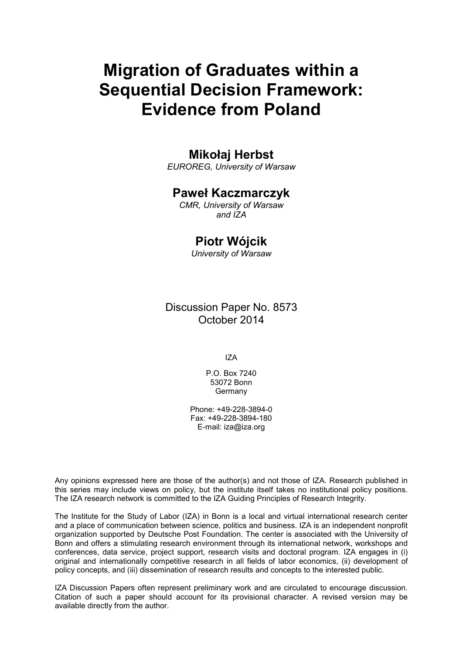# **Migration of Graduates within a Sequential Decision Framework: Evidence from Poland**

## **Mikołaj Herbst**

*EUROREG, University of Warsaw*

## **Paweł Kaczmarczyk**

*CMR, University of Warsaw and IZA*

## **Piotr Wójcik**

*University of Warsaw*

Discussion Paper No. 8573 October 2014

IZA

P.O. Box 7240 53072 Bonn **Germany** 

Phone: +49-228-3894-0 Fax: +49-228-3894-180 E-mail: [iza@iza.org](mailto:iza@iza.org)

Any opinions expressed here are those of the author(s) and not those of IZA. Research published in this series may include views on policy, but the institute itself takes no institutional policy positions. The IZA research network is committed to the IZA Guiding Principles of Research Integrity.

The Institute for the Study of Labor (IZA) in Bonn is a local and virtual international research center and a place of communication between science, politics and business. IZA is an independent nonprofit organization supported by Deutsche Post Foundation. The center is associated with the University of Bonn and offers a stimulating research environment through its international network, workshops and conferences, data service, project support, research visits and doctoral program. IZA engages in (i) original and internationally competitive research in all fields of labor economics, (ii) development of policy concepts, and (iii) dissemination of research results and concepts to the interested public.

IZA Discussion Papers often represent preliminary work and are circulated to encourage discussion. Citation of such a paper should account for its provisional character. A revised version may be available directly from the author.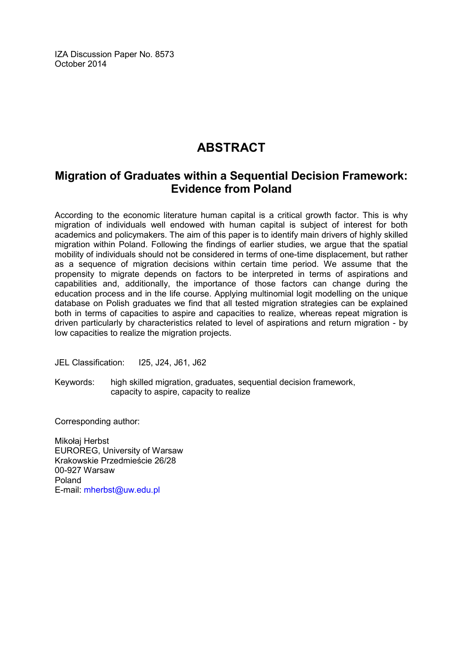IZA Discussion Paper No. 8573 October 2014

## **ABSTRACT**

## **Migration of Graduates within a Sequential Decision Framework: Evidence from Poland**

According to the economic literature human capital is a critical growth factor. This is why migration of individuals well endowed with human capital is subject of interest for both academics and policymakers. The aim of this paper is to identify main drivers of highly skilled migration within Poland. Following the findings of earlier studies, we argue that the spatial mobility of individuals should not be considered in terms of one-time displacement, but rather as a sequence of migration decisions within certain time period. We assume that the propensity to migrate depends on factors to be interpreted in terms of aspirations and capabilities and, additionally, the importance of those factors can change during the education process and in the life course. Applying multinomial logit modelling on the unique database on Polish graduates we find that all tested migration strategies can be explained both in terms of capacities to aspire and capacities to realize, whereas repeat migration is driven particularly by characteristics related to level of aspirations and return migration - by low capacities to realize the migration projects.

JEL Classification: I25, J24, J61, J62

Keywords: high skilled migration, graduates, sequential decision framework, capacity to aspire, capacity to realize

Corresponding author:

Mikołaj Herbst EUROREG, University of Warsaw Krakowskie Przedmieście 26/28 00-927 Warsaw Poland E-mail: [mherbst@uw.edu.pl](mailto:mherbst@uw.edu.pl)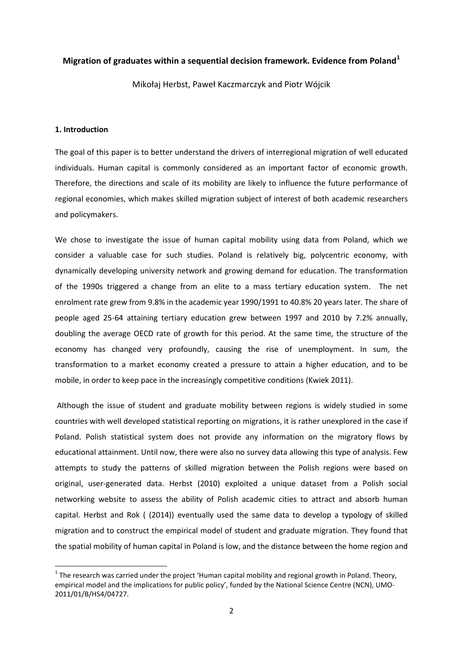#### **Migration of graduates within a sequential decision framework. Evidence from Poland<sup>1</sup>**

Mikołaj Herbst, Paweł Kaczmarczyk and Piotr Wójcik

#### **1. Introduction**

The goal of this paper is to better understand the drivers of interregional migration of well educated individuals. Human capital is commonly considered as an important factor of economic growth. Therefore, the directions and scale of its mobility are likely to influence the future performance of regional economies, which makes skilled migration subject of interest of both academic researchers and policymakers.

We chose to investigate the issue of human capital mobility using data from Poland, which we consider a valuable case for such studies. Poland is relatively big, polycentric economy, with dynamically developing university network and growing demand for education. The transformation of the 1990s triggered a change from an elite to a mass tertiary education system. The net enrolment rate grew from 9.8% in the academic year 1990/1991 to 40.8% 20 years later. The share of people aged 25-64 attaining tertiary education grew between 1997 and 2010 by 7.2% annually, doubling the average OECD rate of growth for this period. At the same time, the structure of the economy has changed very profoundly, causing the rise of unemployment. In sum, the transformation to a market economy created a pressure to attain a higher education, and to be mobile, in order to keep pace in the increasingly competitive conditions (Kwiek 2011).

Although the issue of student and graduate mobility between regions is widely studied in some countries with well developed statistical reporting on migrations, it is rather unexplored in the case if Poland. Polish statistical system does not provide any information on the migratory flows by educational attainment. Until now, there were also no survey data allowing this type of analysis. Few attempts to study the patterns of skilled migration between the Polish regions were based on original, user-generated data. Herbst (2010) exploited a unique dataset from a Polish social networking website to assess the ability of Polish academic cities to attract and absorb human capital. Herbst and Rok ( (2014)) eventually used the same data to develop a typology of skilled migration and to construct the empirical model of student and graduate migration. They found that the spatial mobility of human capital in Poland is low, and the distance between the home region and

<span id="page-3-0"></span> $1$  The research was carried under the project 'Human capital mobility and regional growth in Poland. Theory, empirical model and the implications for public policy', funded by the National Science Centre (NCN), UMO-2011/01/B/HS4/04727.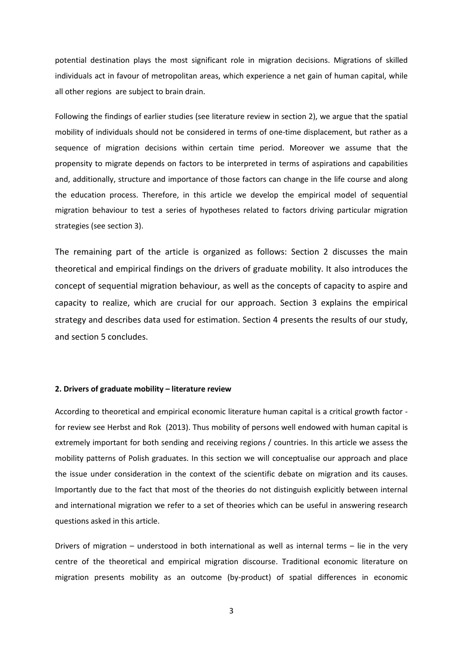potential destination plays the most significant role in migration decisions. Migrations of skilled individuals act in favour of metropolitan areas, which experience a net gain of human capital, while all other regions are subject to brain drain.

Following the findings of earlier studies (see literature review in section 2), we argue that the spatial mobility of individuals should not be considered in terms of one-time displacement, but rather as a sequence of migration decisions within certain time period. Moreover we assume that the propensity to migrate depends on factors to be interpreted in terms of aspirations and capabilities and, additionally, structure and importance of those factors can change in the life course and along the education process. Therefore, in this article we develop the empirical model of sequential migration behaviour to test a series of hypotheses related to factors driving particular migration strategies (see section 3).

The remaining part of the article is organized as follows: Section 2 discusses the main theoretical and empirical findings on the drivers of graduate mobility. It also introduces the concept of sequential migration behaviour, as well as the concepts of capacity to aspire and capacity to realize, which are crucial for our approach. Section 3 explains the empirical strategy and describes data used for estimation. Section 4 presents the results of our study, and section 5 concludes.

#### **2. Drivers of graduate mobility – literature review**

According to theoretical and empirical economic literature human capital is a critical growth factor for review see Herbst and Rok (2013). Thus mobility of persons well endowed with human capital is extremely important for both sending and receiving regions / countries. In this article we assess the mobility patterns of Polish graduates. In this section we will conceptualise our approach and place the issue under consideration in the context of the scientific debate on migration and its causes. Importantly due to the fact that most of the theories do not distinguish explicitly between internal and international migration we refer to a set of theories which can be useful in answering research questions asked in this article.

Drivers of migration – understood in both international as well as internal terms – lie in the very centre of the theoretical and empirical migration discourse. Traditional economic literature on migration presents mobility as an outcome (by-product) of spatial differences in economic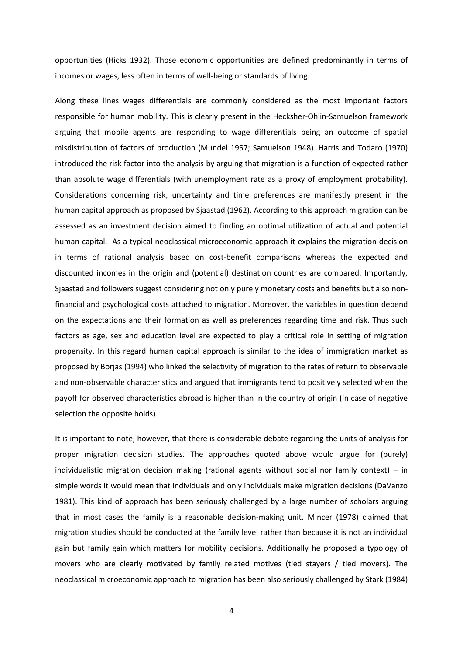opportunities (Hicks 1932). Those economic opportunities are defined predominantly in terms of incomes or wages, less often in terms of well-being or standards of living.

Along these lines wages differentials are commonly considered as the most important factors responsible for human mobility. This is clearly present in the Hecksher-Ohlin-Samuelson framework arguing that mobile agents are responding to wage differentials being an outcome of spatial misdistribution of factors of production (Mundel 1957; Samuelson 1948). Harris and Todaro (1970) introduced the risk factor into the analysis by arguing that migration is a function of expected rather than absolute wage differentials (with unemployment rate as a proxy of employment probability). Considerations concerning risk, uncertainty and time preferences are manifestly present in the human capital approach as proposed by Sjaastad (1962). According to this approach migration can be assessed as an investment decision aimed to finding an optimal utilization of actual and potential human capital. As a typical neoclassical microeconomic approach it explains the migration decision in terms of rational analysis based on cost-benefit comparisons whereas the expected and discounted incomes in the origin and (potential) destination countries are compared. Importantly, Sjaastad and followers suggest considering not only purely monetary costs and benefits but also nonfinancial and psychological costs attached to migration. Moreover, the variables in question depend on the expectations and their formation as well as preferences regarding time and risk. Thus such factors as age, sex and education level are expected to play a critical role in setting of migration propensity. In this regard human capital approach is similar to the idea of immigration market as proposed by Borjas (1994) who linked the selectivity of migration to the rates of return to observable and non-observable characteristics and argued that immigrants tend to positively selected when the payoff for observed characteristics abroad is higher than in the country of origin (in case of negative selection the opposite holds).

It is important to note, however, that there is considerable debate regarding the units of analysis for proper migration decision studies. The approaches quoted above would argue for (purely) individualistic migration decision making (rational agents without social nor family context) – in simple words it would mean that individuals and only individuals make migration decisions (DaVanzo 1981). This kind of approach has been seriously challenged by a large number of scholars arguing that in most cases the family is a reasonable decision-making unit. Mincer (1978) claimed that migration studies should be conducted at the family level rather than because it is not an individual gain but family gain which matters for mobility decisions. Additionally he proposed a typology of movers who are clearly motivated by family related motives (tied stayers / tied movers). The neoclassical microeconomic approach to migration has been also seriously challenged by Stark (1984)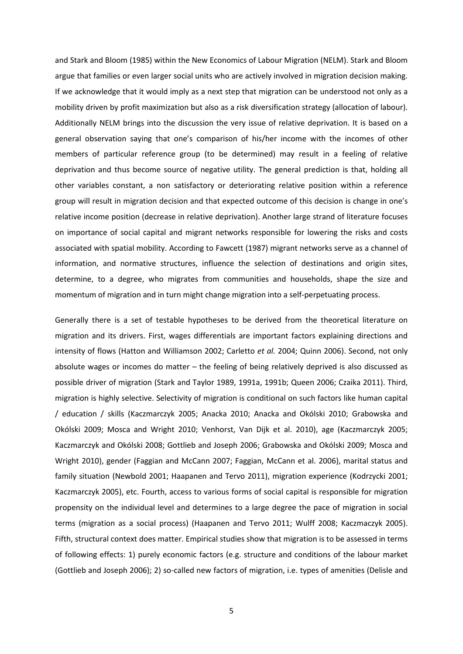and Stark and Bloom (1985) within the New Economics of Labour Migration (NELM). Stark and Bloom argue that families or even larger social units who are actively involved in migration decision making. If we acknowledge that it would imply as a next step that migration can be understood not only as a mobility driven by profit maximization but also as a risk diversification strategy (allocation of labour). Additionally NELM brings into the discussion the very issue of relative deprivation. It is based on a general observation saying that one's comparison of his/her income with the incomes of other members of particular reference group (to be determined) may result in a feeling of relative deprivation and thus become source of negative utility. The general prediction is that, holding all other variables constant, a non satisfactory or deteriorating relative position within a reference group will result in migration decision and that expected outcome of this decision is change in one's relative income position (decrease in relative deprivation). Another large strand of literature focuses on importance of social capital and migrant networks responsible for lowering the risks and costs associated with spatial mobility. According to Fawcett (1987) migrant networks serve as a channel of information, and normative structures, influence the selection of destinations and origin sites, determine, to a degree, who migrates from communities and households, shape the size and momentum of migration and in turn might change migration into a self-perpetuating process.

Generally there is a set of testable hypotheses to be derived from the theoretical literature on migration and its drivers. First, wages differentials are important factors explaining directions and intensity of flows (Hatton and Williamson 2002; Carletto *et al.* 2004; Quinn 2006). Second, not only absolute wages or incomes do matter – the feeling of being relatively deprived is also discussed as possible driver of migration (Stark and Taylor 1989, 1991a, 1991b; Queen 2006; Czaika 2011). Third, migration is highly selective. Selectivity of migration is conditional on such factors like human capital / education / skills (Kaczmarczyk 2005; Anacka 2010; Anacka and Okólski 2010; Grabowska and Okólski 2009; Mosca and Wright 2010; Venhorst, Van Dijk et al. 2010), age (Kaczmarczyk 2005; Kaczmarczyk and Okólski 2008; Gottlieb and Joseph 2006; Grabowska and Okólski 2009; Mosca and Wright 2010), gender (Faggian and McCann 2007; Faggian, McCann et al. 2006), marital status and family situation (Newbold 2001; Haapanen and Tervo 2011), migration experience (Kodrzycki 2001; Kaczmarczyk 2005), etc. Fourth, access to various forms of social capital is responsible for migration propensity on the individual level and determines to a large degree the pace of migration in social terms (migration as a social process) (Haapanen and Tervo 2011; Wulff 2008; Kaczmaczyk 2005). Fifth, structural context does matter. Empirical studies show that migration is to be assessed in terms of following effects: 1) purely economic factors (e.g. structure and conditions of the labour market (Gottlieb and Joseph 2006); 2) so-called new factors of migration, i.e. types of amenities (Delisle and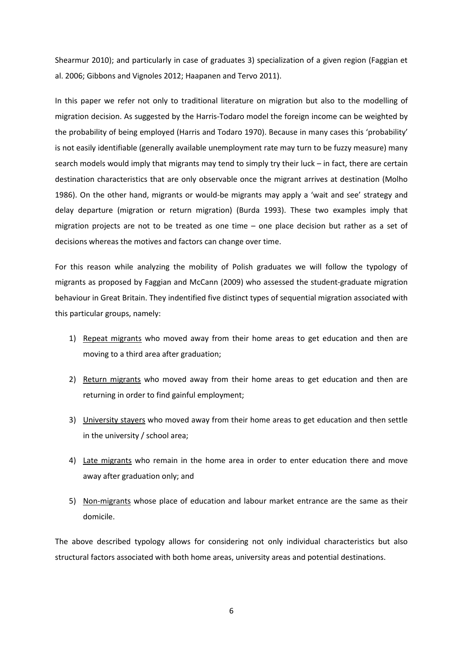Shearmur 2010); and particularly in case of graduates 3) specialization of a given region (Faggian et al. 2006; Gibbons and Vignoles 2012; Haapanen and Tervo 2011).

In this paper we refer not only to traditional literature on migration but also to the modelling of migration decision. As suggested by the Harris-Todaro model the foreign income can be weighted by the probability of being employed (Harris and Todaro 1970). Because in many cases this 'probability' is not easily identifiable (generally available unemployment rate may turn to be fuzzy measure) many search models would imply that migrants may tend to simply try their luck – in fact, there are certain destination characteristics that are only observable once the migrant arrives at destination (Molho 1986). On the other hand, migrants or would-be migrants may apply a 'wait and see' strategy and delay departure (migration or return migration) (Burda 1993). These two examples imply that migration projects are not to be treated as one time – one place decision but rather as a set of decisions whereas the motives and factors can change over time.

For this reason while analyzing the mobility of Polish graduates we will follow the typology of migrants as proposed by Faggian and McCann (2009) who assessed the student-graduate migration behaviour in Great Britain. They indentified five distinct types of sequential migration associated with this particular groups, namely:

- 1) Repeat migrants who moved away from their home areas to get education and then are moving to a third area after graduation;
- 2) Return migrants who moved away from their home areas to get education and then are returning in order to find gainful employment;
- 3) University stayers who moved away from their home areas to get education and then settle in the university / school area;
- 4) Late migrants who remain in the home area in order to enter education there and move away after graduation only; and
- 5) Non-migrants whose place of education and labour market entrance are the same as their domicile.

The above described typology allows for considering not only individual characteristics but also structural factors associated with both home areas, university areas and potential destinations.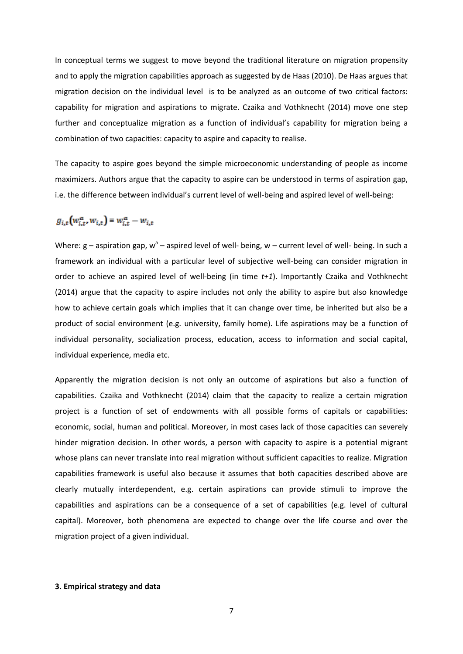In conceptual terms we suggest to move beyond the traditional literature on migration propensity and to apply the migration capabilities approach as suggested by de Haas (2010). De Haas argues that migration decision on the individual level is to be analyzed as an outcome of two critical factors: capability for migration and aspirations to migrate. Czaika and Vothknecht (2014) move one step further and conceptualize migration as a function of individual's capability for migration being a combination of two capacities: capacity to aspire and capacity to realise.

The capacity to aspire goes beyond the simple microeconomic understanding of people as income maximizers. Authors argue that the capacity to aspire can be understood in terms of aspiration gap, i.e. the difference between individual's current level of well-being and aspired level of well-being:

$$
g_{i,t}(w_{i,t}^a, w_{i,t}) \equiv w_{i,t}^a - w_{i,t}
$$

Where:  $g -$  aspiration gap,  $w^a -$  aspired level of well- being, w – current level of well- being. In such a framework an individual with a particular level of subjective well-being can consider migration in order to achieve an aspired level of well-being (in time *t+1*). Importantly Czaika and Vothknecht (2014) argue that the capacity to aspire includes not only the ability to aspire but also knowledge how to achieve certain goals which implies that it can change over time, be inherited but also be a product of social environment (e.g. university, family home). Life aspirations may be a function of individual personality, socialization process, education, access to information and social capital, individual experience, media etc.

Apparently the migration decision is not only an outcome of aspirations but also a function of capabilities. Czaika and Vothknecht (2014) claim that the capacity to realize a certain migration project is a function of set of endowments with all possible forms of capitals or capabilities: economic, social, human and political. Moreover, in most cases lack of those capacities can severely hinder migration decision. In other words, a person with capacity to aspire is a potential migrant whose plans can never translate into real migration without sufficient capacities to realize. Migration capabilities framework is useful also because it assumes that both capacities described above are clearly mutually interdependent, e.g. certain aspirations can provide stimuli to improve the capabilities and aspirations can be a consequence of a set of capabilities (e.g. level of cultural capital). Moreover, both phenomena are expected to change over the life course and over the migration project of a given individual.

#### **3. Empirical strategy and data**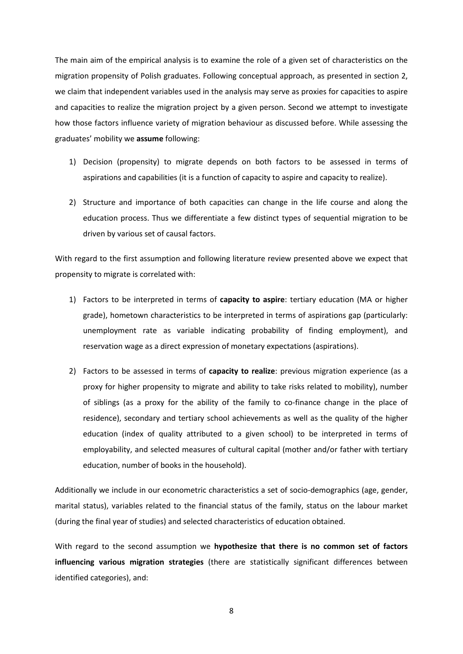The main aim of the empirical analysis is to examine the role of a given set of characteristics on the migration propensity of Polish graduates. Following conceptual approach, as presented in section 2, we claim that independent variables used in the analysis may serve as proxies for capacities to aspire and capacities to realize the migration project by a given person. Second we attempt to investigate how those factors influence variety of migration behaviour as discussed before. While assessing the graduates' mobility we **assume** following:

- 1) Decision (propensity) to migrate depends on both factors to be assessed in terms of aspirations and capabilities (it is a function of capacity to aspire and capacity to realize).
- 2) Structure and importance of both capacities can change in the life course and along the education process. Thus we differentiate a few distinct types of sequential migration to be driven by various set of causal factors.

With regard to the first assumption and following literature review presented above we expect that propensity to migrate is correlated with:

- 1) Factors to be interpreted in terms of **capacity to aspire**: tertiary education (MA or higher grade), hometown characteristics to be interpreted in terms of aspirations gap (particularly: unemployment rate as variable indicating probability of finding employment), and reservation wage as a direct expression of monetary expectations (aspirations).
- 2) Factors to be assessed in terms of **capacity to realize**: previous migration experience (as a proxy for higher propensity to migrate and ability to take risks related to mobility), number of siblings (as a proxy for the ability of the family to co-finance change in the place of residence), secondary and tertiary school achievements as well as the quality of the higher education (index of quality attributed to a given school) to be interpreted in terms of employability, and selected measures of cultural capital (mother and/or father with tertiary education, number of books in the household).

Additionally we include in our econometric characteristics a set of socio-demographics (age, gender, marital status), variables related to the financial status of the family, status on the labour market (during the final year of studies) and selected characteristics of education obtained.

With regard to the second assumption we **hypothesize that there is no common set of factors influencing various migration strategies** (there are statistically significant differences between identified categories), and: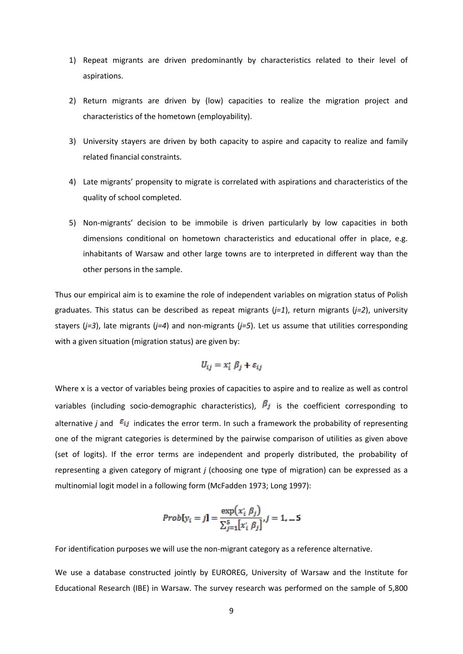- 1) Repeat migrants are driven predominantly by characteristics related to their level of aspirations.
- 2) Return migrants are driven by (low) capacities to realize the migration project and characteristics of the hometown (employability).
- 3) University stayers are driven by both capacity to aspire and capacity to realize and family related financial constraints.
- 4) Late migrants' propensity to migrate is correlated with aspirations and characteristics of the quality of school completed.
- 5) Non-migrants' decision to be immobile is driven particularly by low capacities in both dimensions conditional on hometown characteristics and educational offer in place, e.g. inhabitants of Warsaw and other large towns are to interpreted in different way than the other persons in the sample.

Thus our empirical aim is to examine the role of independent variables on migration status of Polish graduates. This status can be described as repeat migrants (*j=1*), return migrants (*j=2*), university stayers (*j=3*), late migrants (*j=4*) and non-migrants (*j=5*). Let us assume that utilities corresponding with a given situation (migration status) are given by:

$$
U_{ij} = x_i^* \beta_j + \varepsilon_{ij}
$$

Where x is a vector of variables being proxies of capacities to aspire and to realize as well as control variables (including socio-demographic characteristics),  $\beta_j$  is the coefficient corresponding to alternative *i* and  $\epsilon_{ij}$  indicates the error term. In such a framework the probability of representing one of the migrant categories is determined by the pairwise comparison of utilities as given above (set of logits). If the error terms are independent and properly distributed, the probability of representing a given category of migrant *j* (choosing one type of migration) can be expressed as a multinomial logit model in a following form (McFadden 1973; Long 1997):

*Prob*[
$$
y_i = j
$$
] =  $\frac{\exp(x_i \beta_j)}{\sum_{j=1}^{5} [x_i \beta_j]}, j = 1, ... 5$ 

For identification purposes we will use the non-migrant category as a reference alternative.

We use a database constructed jointly by EUROREG, University of Warsaw and the Institute for Educational Research (IBE) in Warsaw. The survey research was performed on the sample of 5,800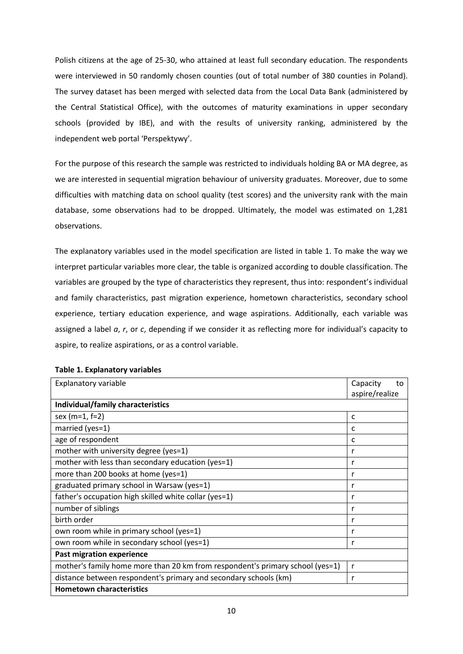Polish citizens at the age of 25-30, who attained at least full secondary education. The respondents were interviewed in 50 randomly chosen counties (out of total number of 380 counties in Poland). The survey dataset has been merged with selected data from the Local Data Bank (administered by the Central Statistical Office), with the outcomes of maturity examinations in upper secondary schools (provided by IBE), and with the results of university ranking, administered by the independent web portal 'Perspektywy'.

For the purpose of this research the sample was restricted to individuals holding BA or MA degree, as we are interested in sequential migration behaviour of university graduates. Moreover, due to some difficulties with matching data on school quality (test scores) and the university rank with the main database, some observations had to be dropped. Ultimately, the model was estimated on 1,281 observations.

The explanatory variables used in the model specification are listed in table 1. To make the way we interpret particular variables more clear, the table is organized according to double classification. The variables are grouped by the type of characteristics they represent, thus into: respondent's individual and family characteristics, past migration experience, hometown characteristics, secondary school experience, tertiary education experience, and wage aspirations. Additionally, each variable was assigned a label *a*, *r*, or *c*, depending if we consider it as reflecting more for individual's capacity to aspire, to realize aspirations, or as a control variable.

| Explanatory variable                                                          | Capacity<br>to<br>aspire/realize |
|-------------------------------------------------------------------------------|----------------------------------|
| Individual/family characteristics                                             |                                  |
| sex ( $m=1$ , $f=2$ )                                                         | c                                |
| married (yes=1)                                                               | c                                |
| age of respondent                                                             | C                                |
| mother with university degree (yes=1)                                         | r                                |
| mother with less than secondary education (yes=1)                             |                                  |
| more than 200 books at home (yes=1)                                           |                                  |
| graduated primary school in Warsaw (yes=1)                                    |                                  |
| father's occupation high skilled white collar (yes=1)                         |                                  |
| number of siblings                                                            | r                                |
| birth order                                                                   | r                                |
| own room while in primary school (yes=1)                                      | r                                |
| own room while in secondary school (yes=1)                                    | r                                |
| <b>Past migration experience</b>                                              |                                  |
| mother's family home more than 20 km from respondent's primary school (yes=1) | r                                |
| distance between respondent's primary and secondary schools (km)              | r                                |
| <b>Hometown characteristics</b>                                               |                                  |

#### **Table 1. Explanatory variables**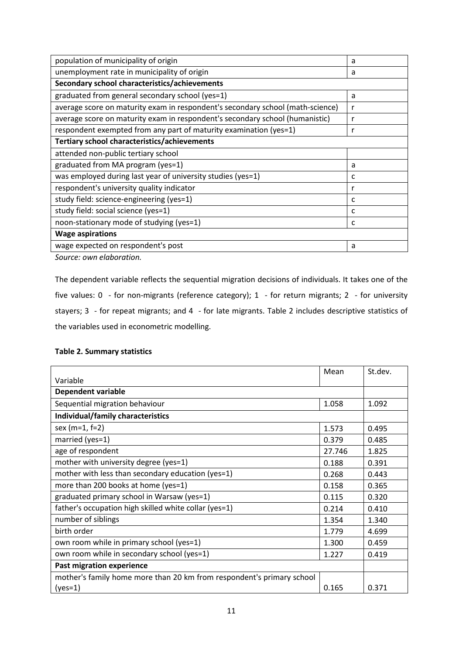| population of municipality of origin                                           | a |
|--------------------------------------------------------------------------------|---|
| unemployment rate in municipality of origin                                    | a |
| Secondary school characteristics/achievements                                  |   |
| graduated from general secondary school (yes=1)                                | a |
| average score on maturity exam in respondent's secondary school (math-science) | r |
| average score on maturity exam in respondent's secondary school (humanistic)   | r |
| respondent exempted from any part of maturity examination (yes=1)              | r |
| Tertiary school characteristics/achievements                                   |   |
| attended non-public tertiary school                                            |   |
| graduated from MA program (yes=1)                                              | a |
| was employed during last year of university studies (yes=1)                    | c |
| respondent's university quality indicator                                      | r |
| study field: science-engineering (yes=1)                                       | c |
| study field: social science (yes=1)                                            | c |
| noon-stationary mode of studying (yes=1)                                       | c |
| <b>Wage aspirations</b>                                                        |   |
| wage expected on respondent's post                                             | a |
| Causan aussa alahassattan                                                      |   |

*Source: own elaboration.*

The dependent variable reflects the sequential migration decisions of individuals. It takes one of the five values: 0 - for non-migrants (reference category); 1 - for return migrants; 2 - for university stayers; 3 - for repeat migrants; and 4 - for late migrants. Table 2 includes descriptive statistics of the variables used in econometric modelling.

#### **Table 2. Summary statistics**

|                                                                       | Mean   | St.dev. |
|-----------------------------------------------------------------------|--------|---------|
| Variable                                                              |        |         |
| Dependent variable                                                    |        |         |
| Sequential migration behaviour                                        | 1.058  | 1.092   |
| Individual/family characteristics                                     |        |         |
| sex (m=1, f=2)                                                        | 1.573  | 0.495   |
| married (yes=1)                                                       | 0.379  | 0.485   |
| age of respondent                                                     | 27.746 | 1.825   |
| mother with university degree (yes=1)                                 | 0.188  | 0.391   |
| mother with less than secondary education (yes=1)                     | 0.268  | 0.443   |
| more than 200 books at home (yes=1)                                   | 0.158  | 0.365   |
| graduated primary school in Warsaw (yes=1)                            | 0.115  | 0.320   |
| father's occupation high skilled white collar (yes=1)                 | 0.214  | 0.410   |
| number of siblings                                                    | 1.354  | 1.340   |
| birth order                                                           | 1.779  | 4.699   |
| own room while in primary school (yes=1)                              | 1.300  | 0.459   |
| own room while in secondary school (yes=1)                            | 1.227  | 0.419   |
| Past migration experience                                             |        |         |
| mother's family home more than 20 km from respondent's primary school |        |         |
| $(yes=1)$                                                             | 0.165  | 0.371   |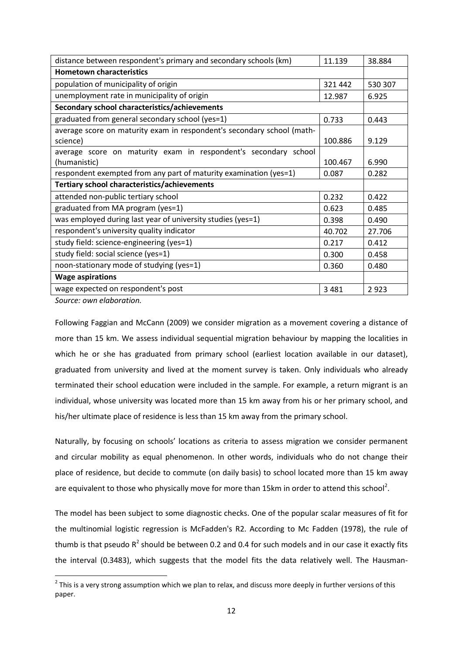| distance between respondent's primary and secondary schools (km)       | 11.139  | 38.884  |  |  |  |  |
|------------------------------------------------------------------------|---------|---------|--|--|--|--|
| <b>Hometown characteristics</b>                                        |         |         |  |  |  |  |
| population of municipality of origin                                   | 321 442 | 530 307 |  |  |  |  |
| unemployment rate in municipality of origin                            | 12.987  | 6.925   |  |  |  |  |
| Secondary school characteristics/achievements                          |         |         |  |  |  |  |
| graduated from general secondary school (yes=1)                        | 0.733   | 0.443   |  |  |  |  |
| average score on maturity exam in respondent's secondary school (math- |         |         |  |  |  |  |
| science)                                                               | 100.886 | 9.129   |  |  |  |  |
| average score on maturity exam in respondent's secondary school        |         |         |  |  |  |  |
| (humanistic)                                                           | 100.467 | 6.990   |  |  |  |  |
| respondent exempted from any part of maturity examination (yes=1)      | 0.087   | 0.282   |  |  |  |  |
| Tertiary school characteristics/achievements                           |         |         |  |  |  |  |
| attended non-public tertiary school                                    | 0.232   | 0.422   |  |  |  |  |
| graduated from MA program (yes=1)                                      | 0.623   | 0.485   |  |  |  |  |
| was employed during last year of university studies (yes=1)            | 0.398   | 0.490   |  |  |  |  |
| respondent's university quality indicator                              | 40.702  | 27.706  |  |  |  |  |
| study field: science-engineering (yes=1)                               | 0.217   | 0.412   |  |  |  |  |
| study field: social science (yes=1)                                    | 0.300   | 0.458   |  |  |  |  |
| noon-stationary mode of studying (yes=1)                               | 0.360   | 0.480   |  |  |  |  |
| <b>Wage aspirations</b>                                                |         |         |  |  |  |  |
| wage expected on respondent's post                                     | 3 4 8 1 | 2923    |  |  |  |  |

*Source: own elaboration.*

Following Faggian and McCann (2009) we consider migration as a movement covering a distance of more than 15 km. We assess individual sequential migration behaviour by mapping the localities in which he or she has graduated from primary school (earliest location available in our dataset), graduated from university and lived at the moment survey is taken. Only individuals who already terminated their school education were included in the sample. For example, a return migrant is an individual, whose university was located more than 15 km away from his or her primary school, and his/her ultimate place of residence is less than 15 km away from the primary school.

Naturally, by focusing on schools' locations as criteria to assess migration we consider permanent and circular mobility as equal phenomenon. In other words, individuals who do not change their place of residence, but decide to commute (on daily basis) to school located more than 15 km away are equivalent to those who physically move for more than 15km in order to attend this school<sup>[2](#page-3-0)</sup>.

The model has been subject to some diagnostic checks. One of the popular scalar measures of fit for the multinomial logistic regression is McFadden's R2. According to Mc Fadden (1978), the rule of thumb is that pseudo  $R^2$  should be between 0.2 and 0.4 for such models and in our case it exactly fits the interval (0.3483), which suggests that the model fits the data relatively well. The Hausman-

 $2$  This is a very strong assumption which we plan to relax, and discuss more deeply in further versions of this paper.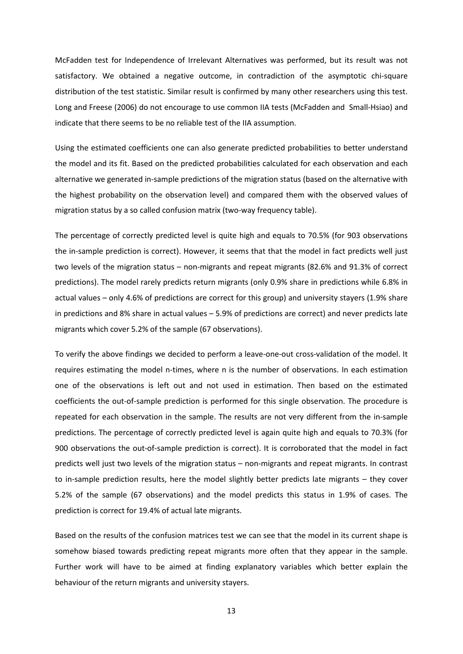McFadden test for Independence of Irrelevant Alternatives was performed, but its result was not satisfactory. We obtained a negative outcome, in contradiction of the asymptotic chi-square distribution of the test statistic. Similar result is confirmed by many other researchers using this test. Long and Freese (2006) do not encourage to use common IIA tests (McFadden and Small-Hsiao) and indicate that there seems to be no reliable test of the IIA assumption.

Using the estimated coefficients one can also generate predicted probabilities to better understand the model and its fit. Based on the predicted probabilities calculated for each observation and each alternative we generated in-sample predictions of the migration status (based on the alternative with the highest probability on the observation level) and compared them with the observed values of migration status by a so called confusion matrix (two-way frequency table).

The percentage of correctly predicted level is quite high and equals to 70.5% (for 903 observations the in-sample prediction is correct). However, it seems that that the model in fact predicts well just two levels of the migration status – non-migrants and repeat migrants (82.6% and 91.3% of correct predictions). The model rarely predicts return migrants (only 0.9% share in predictions while 6.8% in actual values – only 4.6% of predictions are correct for this group) and university stayers (1.9% share in predictions and 8% share in actual values – 5.9% of predictions are correct) and never predicts late migrants which cover 5.2% of the sample (67 observations).

To verify the above findings we decided to perform a leave-one-out cross-validation of the model. It requires estimating the model n-times, where n is the number of observations. In each estimation one of the observations is left out and not used in estimation. Then based on the estimated coefficients the out-of-sample prediction is performed for this single observation. The procedure is repeated for each observation in the sample. The results are not very different from the in-sample predictions. The percentage of correctly predicted level is again quite high and equals to 70.3% (for 900 observations the out-of-sample prediction is correct). It is corroborated that the model in fact predicts well just two levels of the migration status – non-migrants and repeat migrants. In contrast to in-sample prediction results, here the model slightly better predicts late migrants – they cover 5.2% of the sample (67 observations) and the model predicts this status in 1.9% of cases. The prediction is correct for 19.4% of actual late migrants.

Based on the results of the confusion matrices test we can see that the model in its current shape is somehow biased towards predicting repeat migrants more often that they appear in the sample. Further work will have to be aimed at finding explanatory variables which better explain the behaviour of the return migrants and university stayers.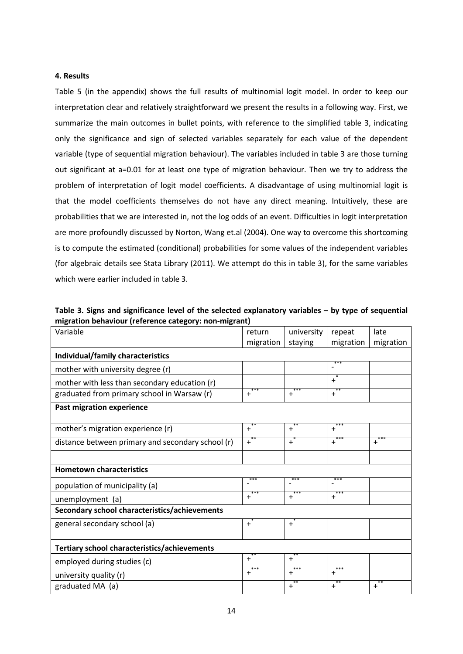#### **4. Results**

Table 5 (in the appendix) shows the full results of multinomial logit model. In order to keep our interpretation clear and relatively straightforward we present the results in a following way. First, we summarize the main outcomes in bullet points, with reference to the simplified table 3, indicating only the significance and sign of selected variables separately for each value of the dependent variable (type of sequential migration behaviour). The variables included in table 3 are those turning out significant at a=0.01 for at least one type of migration behaviour. Then we try to address the problem of interpretation of logit model coefficients. A disadvantage of using multinomial logit is that the model coefficients themselves do not have any direct meaning. Intuitively, these are probabilities that we are interested in, not the log odds of an event. Difficulties in logit interpretation are more profoundly discussed by Norton, Wang et.al (2004). One way to overcome this shortcoming is to compute the estimated (conditional) probabilities for some values of the independent variables (for algebraic details see Stata Library (2011). We attempt do this in table 3), for the same variables which were earlier included in table 3.

**Table 3. Signs and significance level of the selected explanatory variables – by type of sequential migration behaviour (reference category: non-migrant)**

| Variable                                          | return           | university       | repeat           | late        |
|---------------------------------------------------|------------------|------------------|------------------|-------------|
|                                                   | migration        | staying          | migration        | migration   |
| Individual/family characteristics                 |                  |                  |                  |             |
| mother with university degree (r)                 |                  |                  | ***              |             |
| mother with less than secondary education (r)     |                  |                  | $+$              |             |
| graduated from primary school in Warsaw (r)       | ***<br>$\ddot{}$ | ***<br>$\ddot{}$ | $**$<br>$+$      |             |
| Past migration experience                         |                  |                  |                  |             |
|                                                   |                  |                  |                  |             |
| mother's migration experience (r)                 | $+$              | $+$              | $+$              |             |
| distance between primary and secondary school (r) | $+$              | $^{-*}$          | ***<br>$+$       | ***<br>$+$  |
|                                                   |                  |                  |                  |             |
| <b>Hometown characteristics</b>                   |                  |                  |                  |             |
| population of municipality (a)                    | ***              | ***              | ***              |             |
| unemployment (a)                                  | ***<br>+         | ***<br>$\ddot{}$ | ***<br>$\ddot{}$ |             |
| Secondary school characteristics/achievements     |                  |                  |                  |             |
| general secondary school (a)                      | $+$              | $+$              |                  |             |
| Tertiary school characteristics/achievements      |                  |                  |                  |             |
| employed during studies (c)                       | $+$              | $+$              |                  |             |
| university quality (r)                            | $+$              | $+$              | $+$              |             |
| graduated MA (a)                                  |                  | $**$<br>$+$      | $+$              | $**$<br>$+$ |
|                                                   |                  |                  |                  |             |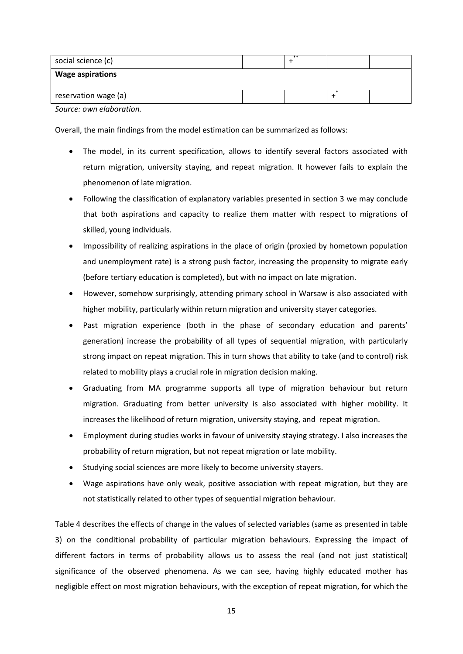| social science (c)      | $**$ |  |
|-------------------------|------|--|
| <b>Wage aspirations</b> |      |  |
| reservation wage (a)    |      |  |

*Source: own elaboration.*

Overall, the main findings from the model estimation can be summarized as follows:

- The model, in its current specification, allows to identify several factors associated with return migration, university staying, and repeat migration. It however fails to explain the phenomenon of late migration.
- Following the classification of explanatory variables presented in section 3 we may conclude that both aspirations and capacity to realize them matter with respect to migrations of skilled, young individuals.
- Impossibility of realizing aspirations in the place of origin (proxied by hometown population and unemployment rate) is a strong push factor, increasing the propensity to migrate early (before tertiary education is completed), but with no impact on late migration.
- However, somehow surprisingly, attending primary school in Warsaw is also associated with higher mobility, particularly within return migration and university stayer categories.
- Past migration experience (both in the phase of secondary education and parents' generation) increase the probability of all types of sequential migration, with particularly strong impact on repeat migration. This in turn shows that ability to take (and to control) risk related to mobility plays a crucial role in migration decision making.
- Graduating from MA programme supports all type of migration behaviour but return migration. Graduating from better university is also associated with higher mobility. It increases the likelihood of return migration, university staying, and repeat migration.
- Employment during studies works in favour of university staying strategy. I also increases the probability of return migration, but not repeat migration or late mobility.
- Studying social sciences are more likely to become university stayers.
- Wage aspirations have only weak, positive association with repeat migration, but they are not statistically related to other types of sequential migration behaviour.

Table 4 describes the effects of change in the values of selected variables (same as presented in table 3) on the conditional probability of particular migration behaviours. Expressing the impact of different factors in terms of probability allows us to assess the real (and not just statistical) significance of the observed phenomena. As we can see, having highly educated mother has negligible effect on most migration behaviours, with the exception of repeat migration, for which the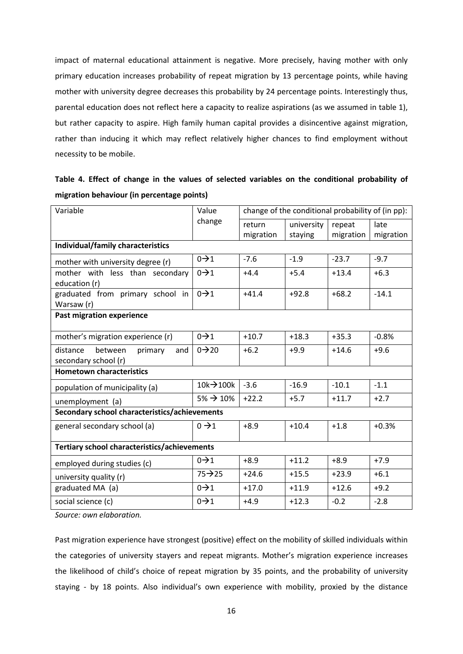impact of maternal educational attainment is negative. More precisely, having mother with only primary education increases probability of repeat migration by 13 percentage points, while having mother with university degree decreases this probability by 24 percentage points. Interestingly thus, parental education does not reflect here a capacity to realize aspirations (as we assumed in table 1), but rather capacity to aspire. High family human capital provides a disincentive against migration, rather than inducing it which may reflect relatively higher chances to find employment without necessity to be mobile.

| migration behaviour (in percentage points)                    |                        |                                                   |            |           |           |  |  |
|---------------------------------------------------------------|------------------------|---------------------------------------------------|------------|-----------|-----------|--|--|
| Variable                                                      | Value                  | change of the conditional probability of (in pp): |            |           |           |  |  |
|                                                               | change                 | return                                            | university | repeat    | late      |  |  |
|                                                               |                        | migration                                         | staying    | migration | migration |  |  |
| Individual/family characteristics                             |                        |                                                   |            |           |           |  |  |
| mother with university degree (r)                             | $0 \rightarrow 1$      | $-7.6$                                            | $-1.9$     | $-23.7$   | $-9.7$    |  |  |
| mother with less than secondary<br>education (r)              | $0 \rightarrow 1$      | $+4.4$                                            | $+5.4$     | $+13.4$   | $+6.3$    |  |  |
| graduated from primary school in<br>Warsaw (r)                | $0 \rightarrow 1$      | $+41.4$                                           | $+92.8$    | $+68.2$   | $-14.1$   |  |  |
| <b>Past migration experience</b>                              |                        |                                                   |            |           |           |  |  |
| mother's migration experience (r)                             | $0 \rightarrow 1$      | $+10.7$                                           | $+18.3$    | $+35.3$   | $-0.8%$   |  |  |
| distance<br>between<br>primary<br>and<br>secondary school (r) | $0 \rightarrow 20$     | $+6.2$                                            | $+9.9$     | $+14.6$   | $+9.6$    |  |  |
| <b>Hometown characteristics</b>                               |                        |                                                   |            |           |           |  |  |
| population of municipality (a)                                | $10k + 100k$           | $-3.6$                                            | $-16.9$    | $-10.1$   | $-1.1$    |  |  |
| unemployment (a)                                              | $5\% \rightarrow 10\%$ | $+22.2$                                           | $+5.7$     | $+11.7$   | $+2.7$    |  |  |
| Secondary school characteristics/achievements                 |                        |                                                   |            |           |           |  |  |
| general secondary school (a)                                  | $0 \rightarrow 1$      | $+8.9$                                            | $+10.4$    | $+1.8$    | $+0.3%$   |  |  |
| Tertiary school characteristics/achievements                  |                        |                                                   |            |           |           |  |  |
| employed during studies (c)                                   | $0 \rightarrow 1$      | $+8.9$                                            | $+11.2$    | $+8.9$    | $+7.9$    |  |  |
| university quality (r)                                        | $75 - 25$              | $+24.6$                                           | $+15.5$    | $+23.9$   | $+6.1$    |  |  |
| graduated MA (a)                                              | $0 \rightarrow 1$      | $+17.0$                                           | $+11.9$    | $+12.6$   | $+9.2$    |  |  |

|  |                                            |  |  |  | Table 4. Effect of change in the values of selected variables on the conditional probability of |  |
|--|--------------------------------------------|--|--|--|-------------------------------------------------------------------------------------------------|--|
|  | migration behaviour (in percentage points) |  |  |  |                                                                                                 |  |

*Source: own elaboration.*

Past migration experience have strongest (positive) effect on the mobility of skilled individuals within the categories of university stayers and repeat migrants. Mother's migration experience increases the likelihood of child's choice of repeat migration by 35 points, and the probability of university staying - by 18 points. Also individual's own experience with mobility, proxied by the distance

social science (c) 01 +4.9 +12.3 -0.2 -2.8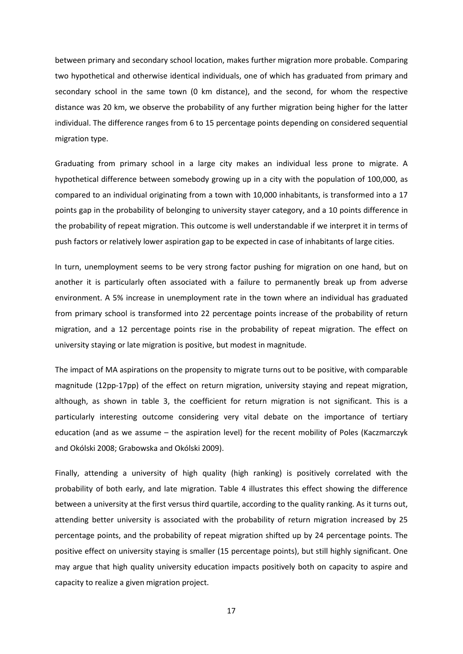between primary and secondary school location, makes further migration more probable. Comparing two hypothetical and otherwise identical individuals, one of which has graduated from primary and secondary school in the same town (0 km distance), and the second, for whom the respective distance was 20 km, we observe the probability of any further migration being higher for the latter individual. The difference ranges from 6 to 15 percentage points depending on considered sequential migration type.

Graduating from primary school in a large city makes an individual less prone to migrate. A hypothetical difference between somebody growing up in a city with the population of 100,000, as compared to an individual originating from a town with 10,000 inhabitants, is transformed into a 17 points gap in the probability of belonging to university stayer category, and a 10 points difference in the probability of repeat migration. This outcome is well understandable if we interpret it in terms of push factors or relatively lower aspiration gap to be expected in case of inhabitants of large cities.

In turn, unemployment seems to be very strong factor pushing for migration on one hand, but on another it is particularly often associated with a failure to permanently break up from adverse environment. A 5% increase in unemployment rate in the town where an individual has graduated from primary school is transformed into 22 percentage points increase of the probability of return migration, and a 12 percentage points rise in the probability of repeat migration. The effect on university staying or late migration is positive, but modest in magnitude.

The impact of MA aspirations on the propensity to migrate turns out to be positive, with comparable magnitude (12pp-17pp) of the effect on return migration, university staying and repeat migration, although, as shown in table 3, the coefficient for return migration is not significant. This is a particularly interesting outcome considering very vital debate on the importance of tertiary education (and as we assume – the aspiration level) for the recent mobility of Poles (Kaczmarczyk and Okólski 2008; Grabowska and Okólski 2009).

Finally, attending a university of high quality (high ranking) is positively correlated with the probability of both early, and late migration. Table 4 illustrates this effect showing the difference between a university at the first versus third quartile, according to the quality ranking. As it turns out, attending better university is associated with the probability of return migration increased by 25 percentage points, and the probability of repeat migration shifted up by 24 percentage points. The positive effect on university staying is smaller (15 percentage points), but still highly significant. One may argue that high quality university education impacts positively both on capacity to aspire and capacity to realize a given migration project.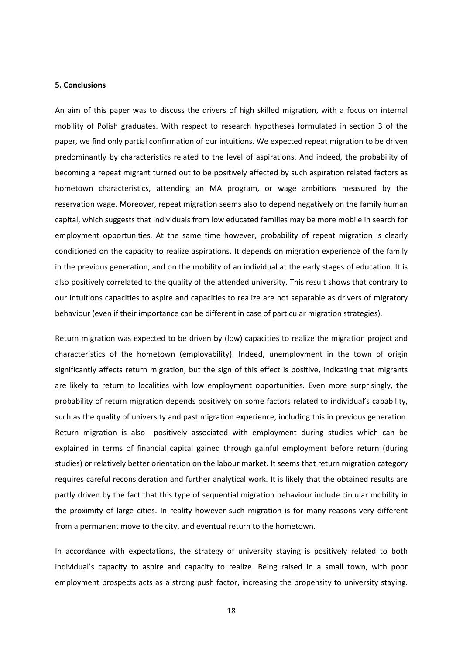#### **5. Conclusions**

An aim of this paper was to discuss the drivers of high skilled migration, with a focus on internal mobility of Polish graduates. With respect to research hypotheses formulated in section 3 of the paper, we find only partial confirmation of our intuitions. We expected repeat migration to be driven predominantly by characteristics related to the level of aspirations. And indeed, the probability of becoming a repeat migrant turned out to be positively affected by such aspiration related factors as hometown characteristics, attending an MA program, or wage ambitions measured by the reservation wage. Moreover, repeat migration seems also to depend negatively on the family human capital, which suggests that individuals from low educated families may be more mobile in search for employment opportunities. At the same time however, probability of repeat migration is clearly conditioned on the capacity to realize aspirations. It depends on migration experience of the family in the previous generation, and on the mobility of an individual at the early stages of education. It is also positively correlated to the quality of the attended university. This result shows that contrary to our intuitions capacities to aspire and capacities to realize are not separable as drivers of migratory behaviour (even if their importance can be different in case of particular migration strategies).

Return migration was expected to be driven by (low) capacities to realize the migration project and characteristics of the hometown (employability). Indeed, unemployment in the town of origin significantly affects return migration, but the sign of this effect is positive, indicating that migrants are likely to return to localities with low employment opportunities. Even more surprisingly, the probability of return migration depends positively on some factors related to individual's capability, such as the quality of university and past migration experience, including this in previous generation. Return migration is also positively associated with employment during studies which can be explained in terms of financial capital gained through gainful employment before return (during studies) or relatively better orientation on the labour market. It seems that return migration category requires careful reconsideration and further analytical work. It is likely that the obtained results are partly driven by the fact that this type of sequential migration behaviour include circular mobility in the proximity of large cities. In reality however such migration is for many reasons very different from a permanent move to the city, and eventual return to the hometown.

In accordance with expectations, the strategy of university staying is positively related to both individual's capacity to aspire and capacity to realize. Being raised in a small town, with poor employment prospects acts as a strong push factor, increasing the propensity to university staying.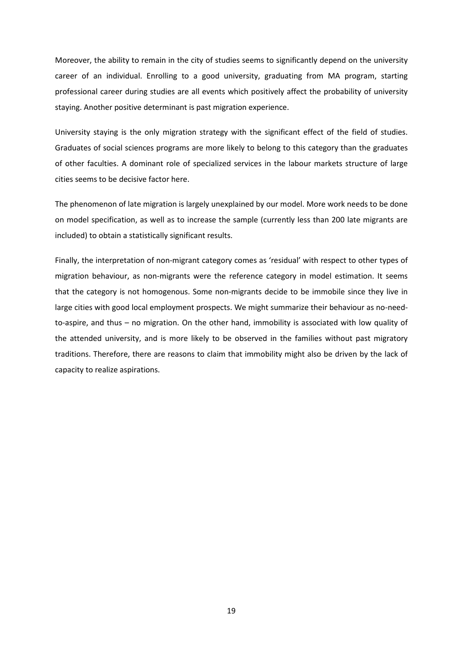Moreover, the ability to remain in the city of studies seems to significantly depend on the university career of an individual. Enrolling to a good university, graduating from MA program, starting professional career during studies are all events which positively affect the probability of university staying. Another positive determinant is past migration experience.

University staying is the only migration strategy with the significant effect of the field of studies. Graduates of social sciences programs are more likely to belong to this category than the graduates of other faculties. A dominant role of specialized services in the labour markets structure of large cities seems to be decisive factor here.

The phenomenon of late migration is largely unexplained by our model. More work needs to be done on model specification, as well as to increase the sample (currently less than 200 late migrants are included) to obtain a statistically significant results.

Finally, the interpretation of non-migrant category comes as 'residual' with respect to other types of migration behaviour, as non-migrants were the reference category in model estimation. It seems that the category is not homogenous. Some non-migrants decide to be immobile since they live in large cities with good local employment prospects. We might summarize their behaviour as no-needto-aspire, and thus – no migration. On the other hand, immobility is associated with low quality of the attended university, and is more likely to be observed in the families without past migratory traditions. Therefore, there are reasons to claim that immobility might also be driven by the lack of capacity to realize aspirations.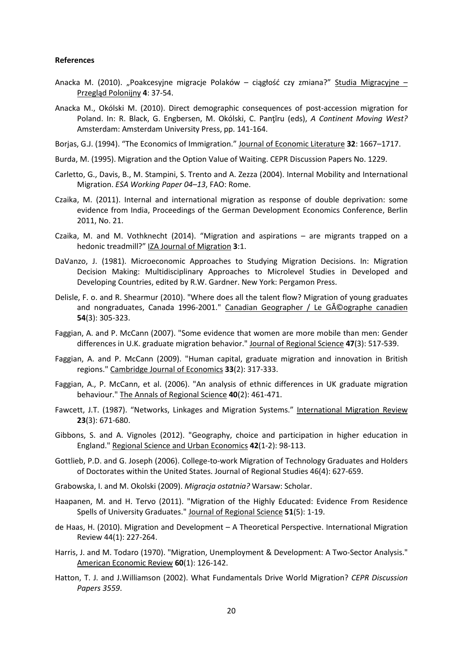#### **References**

- Anacka M. (2010). "Poakcesyjne migracje Polaków ciągłość czy zmiana?" Studia Migracyjne Przegląd Polonijny **4**: 37-54.
- Anacka M., Okólski M. (2010). Direct demographic consequences of post-accession migration for Poland. In: R. Black, G. Engbersen, M. Okólski, C. Panţĭru (eds), *A Continent Moving West?* Amsterdam: Amsterdam University Press, pp. 141-164.
- Borjas, G.J. (1994). "The Economics of Immigration." Journal of Economic Literature **32**: 1667–1717.
- Burda, M. (1995). Migration and the Option Value of Waiting. CEPR Discussion Papers No. 1229.
- Carletto, G., Davis, B., M. Stampini, S. Trento and A. Zezza (2004). Internal Mobility and International Migration. *ESA Working Paper 04–13*, FAO: Rome.
- Czaika, M. (2011). Internal and international migration as response of double deprivation: some evidence from India, Proceedings of the German Development Economics Conference, Berlin 2011, No. 21.
- Czaika, M. and M. Vothknecht (2014). "Migration and aspirations are migrants trapped on a hedonic treadmill?" IZA Journal of Migration **3**:1.
- DaVanzo, J. (1981). Microeconomic Approaches to Studying Migration Decisions. In: Migration Decision Making: Multidisciplinary Approaches to Microlevel Studies in Developed and Developing Countries, edited by R.W. Gardner. New York: Pergamon Press.
- Delisle, F. o. and R. Shearmur (2010). "Where does all the talent flow? Migration of young graduates and nongraduates, Canada 1996-2001." Canadian Geographer / Le Géographe canadien **54**(3): 305-323.
- Faggian, A. and P. McCann (2007). "Some evidence that women are more mobile than men: Gender differences in U.K. graduate migration behavior." Journal of Regional Science **47**(3): 517-539.
- Faggian, A. and P. McCann (2009). "Human capital, graduate migration and innovation in British regions." Cambridge Journal of Economics **33**(2): 317-333.
- Faggian, A., P. McCann, et al. (2006). "An analysis of ethnic differences in UK graduate migration behaviour." The Annals of Regional Science **40**(2): 461-471.
- Fawcett, J.T. (1987). "Networks, Linkages and Migration Systems." International Migration Review **23**(3): 671-680.
- Gibbons, S. and A. Vignoles (2012). "Geography, choice and participation in higher education in England." Regional Science and Urban Economics **42**(1-2): 98-113.
- Gottlieb, P.D. and G. Joseph (2006). College-to-work Migration of Technology Graduates and Holders of Doctorates within the United States. Journal of Regional Studies 46(4): 627-659.
- Grabowska, I. and M. Okolski (2009). *Migracja ostatnia?* Warsaw: Scholar.
- Haapanen, M. and H. Tervo (2011). "Migration of the Highly Educated: Evidence From Residence Spells of University Graduates." Journal of Regional Science **51**(5): 1-19.
- de Haas, H. (2010). Migration and Development A Theoretical Perspective. International Migration Review 44(1): 227-264.
- Harris, J. and M. Todaro (1970). "Migration, Unemployment & Development: A Two-Sector Analysis." American Economic Review **60**(1): 126-142.
- Hatton, T. J. and J.Williamson (2002). What Fundamentals Drive World Migration? *CEPR Discussion Papers 3559*.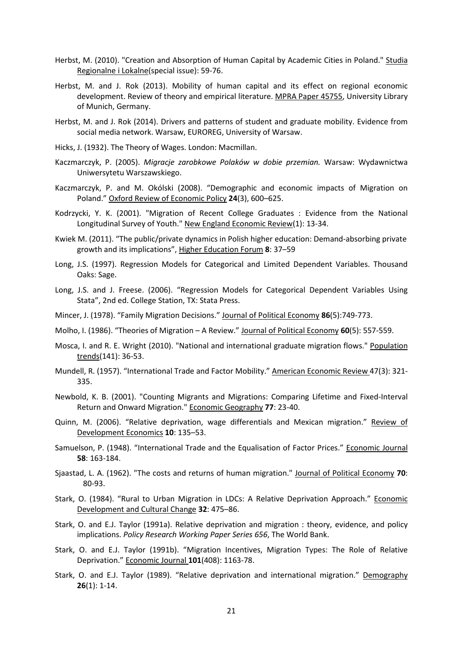- Herbst, M. (2010). "Creation and Absorption of Human Capital by Academic Cities in Poland." Studia Regionalne i Lokalne(special issue): 59-76.
- Herbst, M. and J. Rok (2013). Mobility of human capital and its effect on regional economic development. Review of theory and empirical literature. MPRA Paper 45755, University Library of Munich, Germany.
- Herbst, M. and J. Rok (2014). Drivers and patterns of student and graduate mobility. Evidence from social media network. Warsaw, EUROREG, University of Warsaw.
- Hicks, J. (1932). The Theory of Wages. London: Macmillan.
- Kaczmarczyk, P. (2005). *Migracje zarobkowe Polaków w dobie przemian.* Warsaw: Wydawnictwa Uniwersytetu Warszawskiego.
- Kaczmarczyk, P. and M. Okólski (2008). "Demographic and economic impacts of Migration on Poland." Oxford Review of Economic Policy **24**(3), 600–625.
- Kodrzycki, Y. K. (2001). "Migration of Recent College Graduates : Evidence from the National Longitudinal Survey of Youth." New England Economic Review(1): 13-34.
- Kwiek M. (2011). "The public/private dynamics in Polish higher education: Demand-absorbing private growth and its implications", Higher Education Forum **8**: 37–59
- Long, J.S. (1997). Regression Models for Categorical and Limited Dependent Variables. Thousand Oaks: Sage.
- Long, J.S. and J. Freese. (2006). "Regression Models for Categorical Dependent Variables Using Stata", 2nd ed. College Station, TX: Stata Press.
- Mincer, J. (1978). "Family Migration Decisions." Journal of Political Economy **86**(5):749-773.
- Molho, I. (1986). "Theories of Migration A Review." Journal of Political Economy **60**(5): 557-559.
- Mosca, I. and R. E. Wright (2010). "National and international graduate migration flows." Population trends(141): 36-53.
- Mundell, R. (1957). "International Trade and Factor Mobility." American Economic Review 47(3): 321- 335.
- Newbold, K. B. (2001). "Counting Migrants and Migrations: Comparing Lifetime and Fixed-Interval Return and Onward Migration." Economic Geography **77**: 23-40.
- Quinn, M. (2006). "Relative deprivation, wage differentials and Mexican migration." Review of Development Economics **10**: 135–53.
- Samuelson, P. (1948). "International Trade and the Equalisation of Factor Prices." Economic Journal **58**: 163-184.
- Sjaastad, L. A. (1962). "The costs and returns of human migration." Journal of Political Economy **70**: 80-93.
- Stark, O. (1984). "Rural to Urban Migration in LDCs: A Relative Deprivation Approach." Economic Development and Cultural Change **32**: 475–86.
- Stark, O. and E.J. Taylor (1991a). Relative deprivation and migration : theory, evidence, and policy implications. *Policy Research Working Paper Series 656*, The World Bank.
- Stark, O. and E.J. Taylor (1991b). "Migration Incentives, Migration Types: The Role of Relative Deprivation." Economic Journal **101**(408): 1163-78.
- Stark, O. and E.J. Taylor (1989). "Relative deprivation and international migration." Demography **26**(1): 1-14.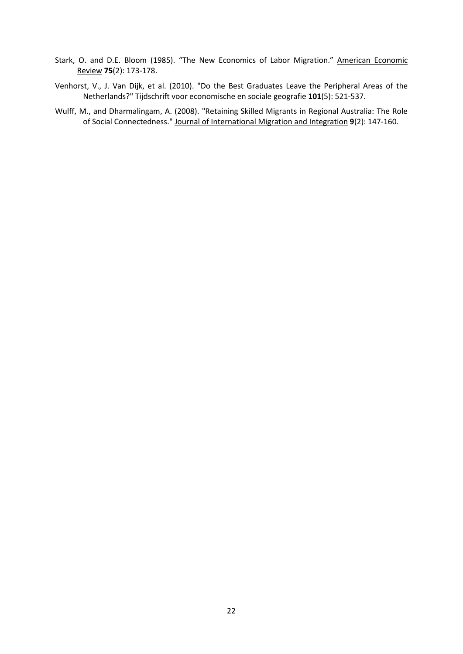- Stark, O. and D.E. Bloom (1985). "The New Economics of Labor Migration." American Economic Review **75**(2): 173-178.
- Venhorst, V., J. Van Dijk, et al. (2010). "Do the Best Graduates Leave the Peripheral Areas of the Netherlands?" Tijdschrift voor economische en sociale geografie **101**(5): 521-537.
- Wulff, M., and Dharmalingam, A. (2008). "Retaining Skilled Migrants in Regional Australia: The Role of Social Connectedness." Journal of International Migration and Integration **9**(2): 147-160.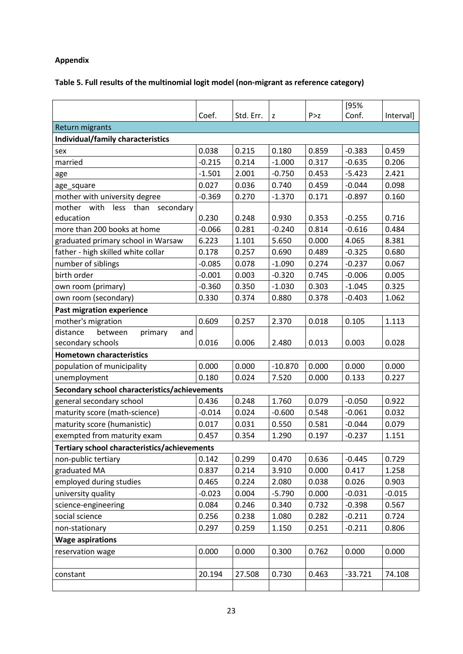## **Appendix**

## **Table 5. Full results of the multinomial logit model (non-migrant as reference category)**

|                                               |          |           |           |       | [95%      |           |
|-----------------------------------------------|----------|-----------|-----------|-------|-----------|-----------|
|                                               | Coef.    | Std. Err. | z         | P > Z | Conf.     | Interval] |
| <b>Return migrants</b>                        |          |           |           |       |           |           |
| Individual/family characteristics             |          |           |           |       |           |           |
| sex                                           | 0.038    | 0.215     | 0.180     | 0.859 | $-0.383$  | 0.459     |
| married                                       | $-0.215$ | 0.214     | $-1.000$  | 0.317 | $-0.635$  | 0.206     |
| age                                           | $-1.501$ | 2.001     | $-0.750$  | 0.453 | $-5.423$  | 2.421     |
| age_square                                    | 0.027    | 0.036     | 0.740     | 0.459 | $-0.044$  | 0.098     |
| mother with university degree                 | $-0.369$ | 0.270     | $-1.370$  | 0.171 | $-0.897$  | 0.160     |
| mother with<br>less<br>than<br>secondary      |          |           |           |       |           |           |
| education                                     | 0.230    | 0.248     | 0.930     | 0.353 | $-0.255$  | 0.716     |
| more than 200 books at home                   | $-0.066$ | 0.281     | $-0.240$  | 0.814 | $-0.616$  | 0.484     |
| graduated primary school in Warsaw            | 6.223    | 1.101     | 5.650     | 0.000 | 4.065     | 8.381     |
| father - high skilled white collar            | 0.178    | 0.257     | 0.690     | 0.489 | $-0.325$  | 0.680     |
| number of siblings                            | $-0.085$ | 0.078     | $-1.090$  | 0.274 | $-0.237$  | 0.067     |
| birth order                                   | $-0.001$ | 0.003     | $-0.320$  | 0.745 | $-0.006$  | 0.005     |
| own room (primary)                            | $-0.360$ | 0.350     | $-1.030$  | 0.303 | $-1.045$  | 0.325     |
| own room (secondary)                          | 0.330    | 0.374     | 0.880     | 0.378 | $-0.403$  | 1.062     |
| <b>Past migration experience</b>              |          |           |           |       |           |           |
| mother's migration                            | 0.609    | 0.257     | 2.370     | 0.018 | 0.105     | 1.113     |
| distance<br>between<br>primary<br>and         |          |           |           |       |           |           |
| secondary schools                             | 0.016    | 0.006     | 2.480     | 0.013 | 0.003     | 0.028     |
| <b>Hometown characteristics</b>               |          |           |           |       |           |           |
| population of municipality                    | 0.000    | 0.000     | $-10.870$ | 0.000 | 0.000     | 0.000     |
| unemployment                                  | 0.180    | 0.024     | 7.520     | 0.000 | 0.133     | 0.227     |
| Secondary school characteristics/achievements |          |           |           |       |           |           |
| general secondary school                      | 0.436    | 0.248     | 1.760     | 0.079 | $-0.050$  | 0.922     |
| maturity score (math-science)                 | $-0.014$ | 0.024     | $-0.600$  | 0.548 | $-0.061$  | 0.032     |
| maturity score (humanistic)                   | 0.017    | 0.031     | 0.550     | 0.581 | $-0.044$  | 0.079     |
| exempted from maturity exam                   | 0.457    | 0.354     | 1.290     | 0.197 | $-0.237$  | 1.151     |
| Tertiary school characteristics/achievements  |          |           |           |       |           |           |
| non-public tertiary                           | 0.142    | 0.299     | 0.470     | 0.636 | $-0.445$  | 0.729     |
| graduated MA                                  | 0.837    | 0.214     | 3.910     | 0.000 | 0.417     | 1.258     |
| employed during studies                       | 0.465    | 0.224     | 2.080     | 0.038 | 0.026     | 0.903     |
| university quality                            | $-0.023$ | 0.004     | $-5.790$  | 0.000 | $-0.031$  | $-0.015$  |
| science-engineering                           | 0.084    | 0.246     | 0.340     | 0.732 | $-0.398$  | 0.567     |
| social science                                | 0.256    | 0.238     | 1.080     | 0.282 | $-0.211$  | 0.724     |
| non-stationary                                | 0.297    | 0.259     | 1.150     | 0.251 | $-0.211$  | 0.806     |
| <b>Wage aspirations</b>                       |          |           |           |       |           |           |
| reservation wage                              | 0.000    | 0.000     | 0.300     | 0.762 | 0.000     | 0.000     |
|                                               |          |           |           |       |           |           |
| constant                                      | 20.194   | 27.508    | 0.730     | 0.463 | $-33.721$ | 74.108    |
|                                               |          |           |           |       |           |           |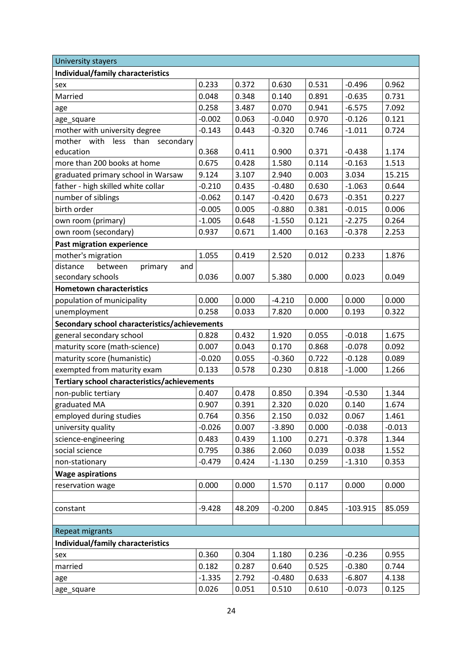| University stayers                            |          |        |          |       |            |          |  |  |
|-----------------------------------------------|----------|--------|----------|-------|------------|----------|--|--|
| Individual/family characteristics             |          |        |          |       |            |          |  |  |
| sex                                           | 0.233    | 0.372  | 0.630    | 0.531 | $-0.496$   | 0.962    |  |  |
| Married                                       | 0.048    | 0.348  | 0.140    | 0.891 | $-0.635$   | 0.731    |  |  |
| age                                           | 0.258    | 3.487  | 0.070    | 0.941 | $-6.575$   | 7.092    |  |  |
| age_square                                    | $-0.002$ | 0.063  | $-0.040$ | 0.970 | $-0.126$   | 0.121    |  |  |
| mother with university degree                 | $-0.143$ | 0.443  | $-0.320$ | 0.746 | $-1.011$   | 0.724    |  |  |
| mother with<br>less<br>than<br>secondary      |          |        |          |       |            |          |  |  |
| education                                     | 0.368    | 0.411  | 0.900    | 0.371 | $-0.438$   | 1.174    |  |  |
| more than 200 books at home                   | 0.675    | 0.428  | 1.580    | 0.114 | $-0.163$   | 1.513    |  |  |
| graduated primary school in Warsaw            | 9.124    | 3.107  | 2.940    | 0.003 | 3.034      | 15.215   |  |  |
| father - high skilled white collar            | $-0.210$ | 0.435  | $-0.480$ | 0.630 | $-1.063$   | 0.644    |  |  |
| number of siblings                            | $-0.062$ | 0.147  | $-0.420$ | 0.673 | $-0.351$   | 0.227    |  |  |
| birth order                                   | $-0.005$ | 0.005  | $-0.880$ | 0.381 | $-0.015$   | 0.006    |  |  |
| own room (primary)                            | $-1.005$ | 0.648  | $-1.550$ | 0.121 | $-2.275$   | 0.264    |  |  |
| own room (secondary)                          | 0.937    | 0.671  | 1.400    | 0.163 | $-0.378$   | 2.253    |  |  |
| <b>Past migration experience</b>              |          |        |          |       |            |          |  |  |
| mother's migration                            | 1.055    | 0.419  | 2.520    | 0.012 | 0.233      | 1.876    |  |  |
| between<br>distance<br>primary<br>and         |          |        |          |       |            |          |  |  |
| secondary schools                             | 0.036    | 0.007  | 5.380    | 0.000 | 0.023      | 0.049    |  |  |
| <b>Hometown characteristics</b>               |          |        |          |       |            |          |  |  |
| population of municipality                    | 0.000    | 0.000  | $-4.210$ | 0.000 | 0.000      | 0.000    |  |  |
| unemployment                                  | 0.258    | 0.033  | 7.820    | 0.000 | 0.193      | 0.322    |  |  |
| Secondary school characteristics/achievements |          |        |          |       |            |          |  |  |
| general secondary school                      | 0.828    | 0.432  | 1.920    | 0.055 | $-0.018$   | 1.675    |  |  |
| maturity score (math-science)                 | 0.007    | 0.043  | 0.170    | 0.868 | $-0.078$   | 0.092    |  |  |
| maturity score (humanistic)                   | $-0.020$ | 0.055  | $-0.360$ | 0.722 | $-0.128$   | 0.089    |  |  |
| exempted from maturity exam                   | 0.133    | 0.578  | 0.230    | 0.818 | $-1.000$   | 1.266    |  |  |
| Tertiary school characteristics/achievements  |          |        |          |       |            |          |  |  |
| non-public tertiary                           | 0.407    | 0.478  | 0.850    | 0.394 | $-0.530$   | 1.344    |  |  |
| graduated MA                                  | 0.907    | 0.391  | 2.320    | 0.020 | 0.140      | 1.674    |  |  |
| employed during studies                       | 0.764    | 0.356  | 2.150    | 0.032 | 0.067      | 1.461    |  |  |
| university quality                            | $-0.026$ | 0.007  | $-3.890$ | 0.000 | $-0.038$   | $-0.013$ |  |  |
| science-engineering                           | 0.483    | 0.439  | 1.100    | 0.271 | $-0.378$   | 1.344    |  |  |
| social science                                | 0.795    | 0.386  | 2.060    | 0.039 | 0.038      | 1.552    |  |  |
| non-stationary                                | $-0.479$ | 0.424  | $-1.130$ | 0.259 | $-1.310$   | 0.353    |  |  |
| <b>Wage aspirations</b>                       |          |        |          |       |            |          |  |  |
| reservation wage                              | 0.000    | 0.000  | 1.570    | 0.117 | 0.000      | 0.000    |  |  |
|                                               |          |        |          |       |            |          |  |  |
| constant                                      | $-9.428$ | 48.209 | $-0.200$ | 0.845 | $-103.915$ | 85.059   |  |  |
|                                               |          |        |          |       |            |          |  |  |
| Repeat migrants                               |          |        |          |       |            |          |  |  |
| Individual/family characteristics             |          |        |          |       |            |          |  |  |
| sex                                           | 0.360    | 0.304  | 1.180    | 0.236 | $-0.236$   | 0.955    |  |  |
| married                                       | 0.182    | 0.287  | 0.640    | 0.525 | $-0.380$   | 0.744    |  |  |
| age                                           | $-1.335$ | 2.792  | $-0.480$ | 0.633 | $-6.807$   | 4.138    |  |  |
| age_square                                    | 0.026    | 0.051  | 0.510    | 0.610 | $-0.073$   | 0.125    |  |  |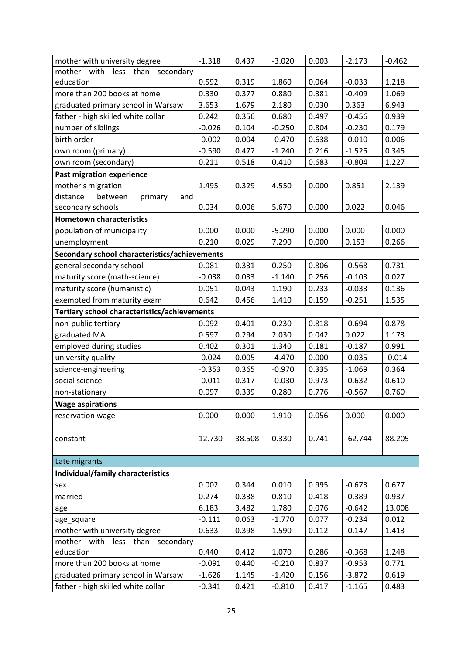| mother with university degree                 | $-1.318$ | 0.437  | $-3.020$ | 0.003 | $-2.173$  | $-0.462$ |
|-----------------------------------------------|----------|--------|----------|-------|-----------|----------|
| mother with<br>less<br>than<br>secondary      |          |        |          |       |           |          |
| education                                     | 0.592    | 0.319  | 1.860    | 0.064 | $-0.033$  | 1.218    |
| more than 200 books at home                   | 0.330    | 0.377  | 0.880    | 0.381 | $-0.409$  | 1.069    |
| graduated primary school in Warsaw            | 3.653    | 1.679  | 2.180    | 0.030 | 0.363     | 6.943    |
| father - high skilled white collar            | 0.242    | 0.356  | 0.680    | 0.497 | $-0.456$  | 0.939    |
| number of siblings                            | $-0.026$ | 0.104  | $-0.250$ | 0.804 | $-0.230$  | 0.179    |
| birth order                                   | $-0.002$ | 0.004  | $-0.470$ | 0.638 | $-0.010$  | 0.006    |
| own room (primary)                            | $-0.590$ | 0.477  | $-1.240$ | 0.216 | $-1.525$  | 0.345    |
| own room (secondary)                          | 0.211    | 0.518  | 0.410    | 0.683 | $-0.804$  | 1.227    |
| <b>Past migration experience</b>              |          |        |          |       |           |          |
| mother's migration                            | 1.495    | 0.329  | 4.550    | 0.000 | 0.851     | 2.139    |
| distance<br>between<br>primary<br>and         |          |        |          |       |           |          |
| secondary schools                             | 0.034    | 0.006  | 5.670    | 0.000 | 0.022     | 0.046    |
| <b>Hometown characteristics</b>               |          |        |          |       |           |          |
| population of municipality                    | 0.000    | 0.000  | $-5.290$ | 0.000 | 0.000     | 0.000    |
| unemployment                                  | 0.210    | 0.029  | 7.290    | 0.000 | 0.153     | 0.266    |
| Secondary school characteristics/achievements |          |        |          |       |           |          |
| general secondary school                      | 0.081    | 0.331  | 0.250    | 0.806 | $-0.568$  | 0.731    |
| maturity score (math-science)                 | $-0.038$ | 0.033  | $-1.140$ | 0.256 | $-0.103$  | 0.027    |
| maturity score (humanistic)                   | 0.051    | 0.043  | 1.190    | 0.233 | $-0.033$  | 0.136    |
| exempted from maturity exam                   | 0.642    | 0.456  | 1.410    | 0.159 | $-0.251$  | 1.535    |
| Tertiary school characteristics/achievements  |          |        |          |       |           |          |
| non-public tertiary                           | 0.092    | 0.401  | 0.230    | 0.818 | $-0.694$  | 0.878    |
| graduated MA                                  | 0.597    | 0.294  | 2.030    | 0.042 | 0.022     | 1.173    |
| employed during studies                       | 0.402    | 0.301  | 1.340    | 0.181 | $-0.187$  | 0.991    |
| university quality                            | $-0.024$ | 0.005  | $-4.470$ | 0.000 | $-0.035$  | $-0.014$ |
| science-engineering                           | $-0.353$ | 0.365  | $-0.970$ | 0.335 | $-1.069$  | 0.364    |
| social science                                | $-0.011$ | 0.317  | $-0.030$ | 0.973 | $-0.632$  | 0.610    |
| non-stationary                                | 0.097    | 0.339  | 0.280    | 0.776 | $-0.567$  | 0.760    |
| <b>Wage aspirations</b>                       |          |        |          |       |           |          |
| reservation wage                              | 0.000    | 0.000  | 1.910    | 0.056 | 0.000     | 0.000    |
|                                               |          |        |          |       |           |          |
| constant                                      | 12.730   | 38.508 | 0.330    | 0.741 | $-62.744$ | 88.205   |
|                                               |          |        |          |       |           |          |
| Late migrants                                 |          |        |          |       |           |          |
| Individual/family characteristics             |          |        |          |       |           |          |
| sex                                           | 0.002    | 0.344  | 0.010    | 0.995 | $-0.673$  | 0.677    |
| married                                       | 0.274    | 0.338  | 0.810    | 0.418 | $-0.389$  | 0.937    |
| age                                           | 6.183    | 3.482  | 1.780    | 0.076 | $-0.642$  | 13.008   |
| age_square                                    | $-0.111$ | 0.063  | $-1.770$ | 0.077 | $-0.234$  | 0.012    |
| mother with university degree                 | 0.633    | 0.398  | 1.590    | 0.112 | $-0.147$  | 1.413    |
| mother with less than<br>secondary            |          |        |          |       |           |          |
| education                                     | 0.440    | 0.412  | 1.070    | 0.286 | $-0.368$  | 1.248    |
| more than 200 books at home                   | $-0.091$ | 0.440  | $-0.210$ | 0.837 | $-0.953$  | 0.771    |
| graduated primary school in Warsaw            | $-1.626$ | 1.145  | $-1.420$ | 0.156 | $-3.872$  | 0.619    |
| father - high skilled white collar            | $-0.341$ | 0.421  | $-0.810$ | 0.417 | $-1.165$  | 0.483    |